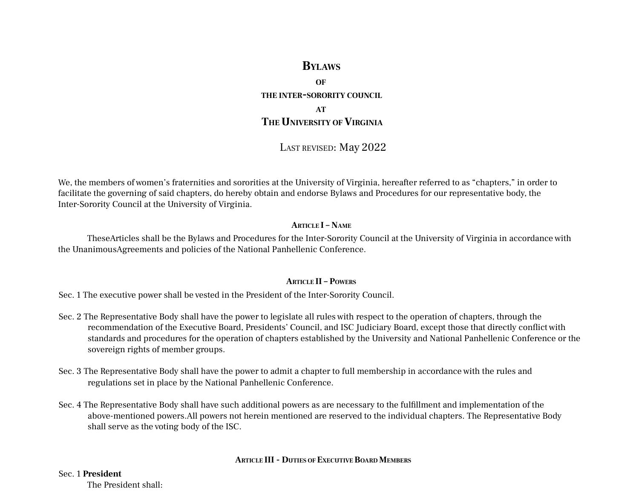# **BYLAWS**

**OF THE INTER-SORORITY COUNCIL AT**

# **THE UNIVERSITY OFVIRGINIA**

LAST REVISED: May 2022

We, the members of women's fraternities and sororities at the University of Virginia, hereafter referred to as "chapters," in order to facilitate the governing of said chapters, do hereby obtain and endorse Bylaws and Procedures for our representative body, the Inter-Sorority Council at the University of Virginia.

#### **ARTICLE I – NAME**

TheseArticles shall be the Bylaws and Procedures for the Inter-Sorority Council at the University of Virginia in accordance with the UnanimousAgreements and policies of the National Panhellenic Conference.

#### **ARTICLE II – POWERS**

Sec. 1 The executive power shall be vested in the President of the Inter-Sorority Council.

- Sec. 2 The Representative Body shall have the power to legislate all rules with respect to the operation of chapters, through the recommendation of the Executive Board, Presidents' Council, and ISC Judiciary Board, except those that directly conflict with standards and procedures for the operation of chapters established by the University and National Panhellenic Conference or the sovereign rights of member groups.
- Sec. 3 The Representative Body shall have the power to admit a chapter to full membership in accordance with the rules and regulations set in place by the National Panhellenic Conference.
- Sec. 4 The Representative Body shall have such additional powers as are necessary to the fulfillment and implementation of the above-mentioned powers.All powers not herein mentioned are reserved to the individual chapters. The Representative Body shall serve as the voting body of the ISC.

#### **ARTICLE III - DUTIES OF EXECUTIVEBOARD MEMBERS**

#### Sec. 1 **President**

The President shall: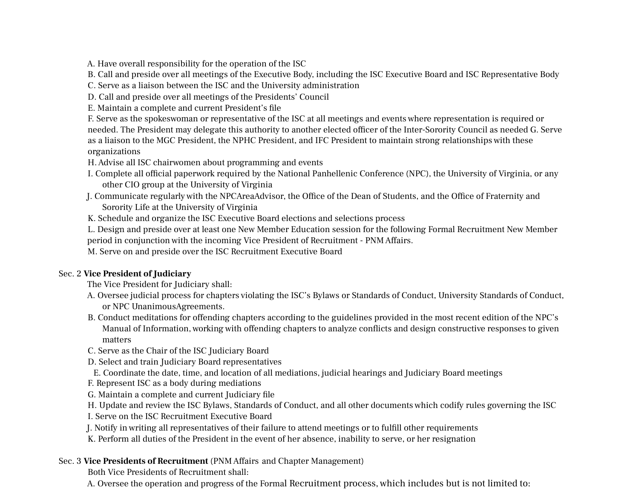A. Have overall responsibility for the operation of the ISC

B. Call and preside over all meetings of the Executive Body, including the ISC Executive Board and ISC Representative Body

C. Serve as a liaison between the ISC and the University administration

D. Call and preside over all meetings of the Presidents' Council

E. Maintain a complete and current President's file

F. Serve as the spokeswoman or representative of the ISC at all meetings and events where representation is required or needed. The President may delegate this authority to another elected officer of the Inter-Sorority Council as needed G. Serve as a liaison to the MGC President, the NPHC President, and IFC President to maintain strong relationships with these organizations

H.Advise all ISC chairwomen about programming and events

- I. Complete all official paperwork required by the National Panhellenic Conference (NPC), the University of Virginia, or any other CIO group at the University of Virginia
- J. Communicate regularly with the NPCAreaAdvisor, the Office of the Dean of Students, and the Office of Fraternity and Sorority Life at the University of Virginia

K. Schedule and organize the ISC Executive Board elections and selections process

L. Design and preside over at least one New Member Education session for the following Formal Recruitment New Member period in conjunction with the incoming Vice President of Recruitment - PNM Affairs.

M. Serve on and preside over the ISC Recruitment Executive Board

## Sec. 2 **Vice President of Judiciary**

The Vice President for Judiciary shall:

- A. Oversee judicial process for chapters violating the ISC's Bylaws or Standards of Conduct, University Standards of Conduct, or NPC UnanimousAgreements.
- B. Conduct meditations for offending chapters according to the guidelines provided in the most recent edition of the NPC's Manual of Information, working with offending chapters to analyze conflicts and design constructive responses to given matters
- C. Serve as the Chair of the ISC Judiciary Board
- D. Select and train Judiciary Board representatives
- E. Coordinate the date, time, and location of all mediations, judicial hearings and Judiciary Board meetings
- F. Represent ISC as a body during mediations
- G. Maintain a complete and current Judiciary file
- H. Update and review the ISC Bylaws, Standards of Conduct, and all other documents which codify rules governing the ISC
- I. Serve on the ISC Recruitment Executive Board
- J. Notify in writing all representatives of their failure to attend meetings or to fulfill other requirements
- K. Perform all duties of the President in the event of her absence, inability to serve, or her resignation

## Sec. 3 **Vice Presidents of Recruitment** (PNM Affairs and Chapter Management)

Both Vice Presidents of Recruitment shall:

A. Oversee the operation and progress of the Formal Recruitment process, which includes but is not limited to: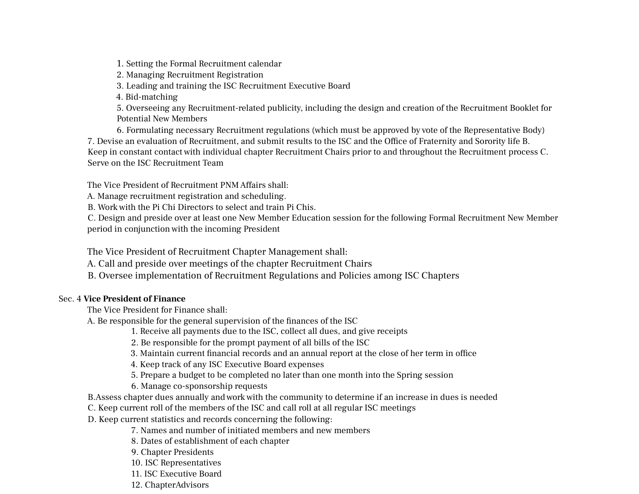1. Setting the Formal Recruitment calendar

2. Managing Recruitment Registration

3. Leading and training the ISC Recruitment Executive Board

4. Bid-matching

5. Overseeing any Recruitment-related publicity, including the design and creation of the Recruitment Booklet for Potential New Members

6. Formulating necessary Recruitment regulations (which must be approved by vote of the Representative Body) 7. Devise an evaluation of Recruitment, and submit results to the ISC and the Office of Fraternity and Sorority life B. Keep in constant contact with individual chapter Recruitment Chairs prior to and throughout the Recruitment process C. Serve on the ISC Recruitment Team

The Vice President of Recruitment PNM Affairs shall:

A. Manage recruitment registration and scheduling.

B. Work with the Pi Chi Directors to select and train Pi Chis.

C. Design and preside over at least one New Member Education session for the following Formal Recruitment New Member period in conjunction with the incoming President

The Vice President of Recruitment Chapter Management shall:

A. Call and preside over meetings of the chapter Recruitment Chairs

B. Oversee implementation of Recruitment Regulations and Policies among ISC Chapters

### Sec. 4 **Vice President of Finance**

The Vice President for Finance shall:

A. Be responsible for the general supervision of the finances of the ISC

- 1. Receive all payments due to the ISC, collect all dues, and give receipts
- 2. Be responsible for the prompt payment of all bills of the ISC
- 3. Maintain current financial records and an annual report at the close of her term in office
- 4. Keep track of any ISC Executive Board expenses
- 5. Prepare a budget to be completed no later than one month into the Spring session
- 6. Manage co-sponsorship requests
- B.Assess chapter dues annually and work with the community to determine if an increase in dues is needed
- C. Keep current roll of the members of the ISC and call roll at all regular ISC meetings

D. Keep current statistics and records concerning the following:

- 7. Names and number of initiated members and new members
- 8. Dates of establishment of each chapter
- 9. Chapter Presidents
- 10. ISC Representatives
- 11. ISC Executive Board
- 12. ChapterAdvisors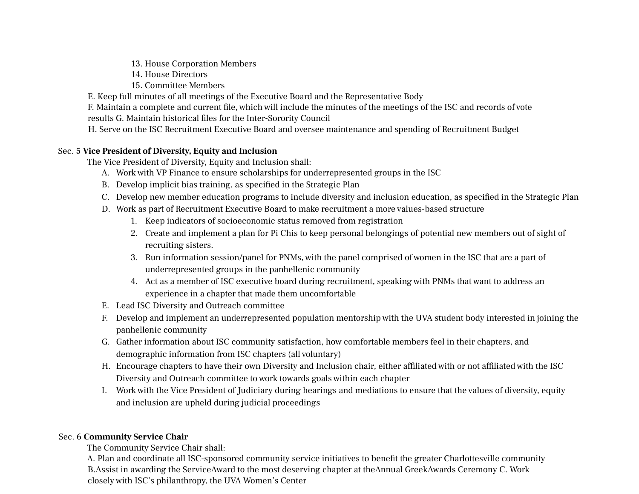13. House Corporation Members

14. House Directors

15. Committee Members

E. Keep full minutes of all meetings of the Executive Board and the Representative Body

F. Maintain a complete and current file, which will include the minutes of the meetings of the ISC and records of vote results G. Maintain historical files for the Inter-Sorority Council

H. Serve on the ISC Recruitment Executive Board and oversee maintenance and spending of Recruitment Budget

## Sec. 5 **Vice President of Diversity, Equity and Inclusion**

The Vice President of Diversity, Equity and Inclusion shall:

- A. Work with VP Finance to ensure scholarships for underrepresented groups in the ISC
- B. Develop implicit bias training, as specified in the Strategic Plan
- C. Develop new member education programs to include diversity and inclusion education, as specified in the Strategic Plan
- D. Work as part of Recruitment Executive Board to make recruitment a more values-based structure
	- 1. Keep indicators of socioeconomic status removed from registration
	- 2. Create and implement a plan for Pi Chis to keep personal belongings of potential new members out of sight of recruiting sisters.
	- 3. Run information session/panel for PNMs, with the panel comprised of women in the ISC that are a part of underrepresented groups in the panhellenic community
	- 4. Act as a member of ISC executive board during recruitment, speaking with PNMs that want to address an experience in a chapter that made them uncomfortable
- E. Lead ISC Diversity and Outreach committee
- F. Develop and implement an underrepresented population mentorship with the UVA student body interested in joining the panhellenic community
- G. Gather information about ISC community satisfaction, how comfortable members feel in their chapters, and demographic information from ISC chapters (all voluntary)
- H. Encourage chapters to have their own Diversity and Inclusion chair, either affiliated with or not affiliated with the ISC Diversity and Outreach committee to work towards goals within each chapter
- I. Work with the Vice President of Judiciary during hearings and mediations to ensure that the values of diversity, equity and inclusion are upheld during judicial proceedings

### Sec. 6 **Community Service Chair**

The Community Service Chair shall:

A. Plan and coordinate all ISC-sponsored community service initiatives to benefit the greater Charlottesville community B.Assist in awarding the ServiceAward to the most deserving chapter at theAnnual GreekAwards Ceremony C. Work closely with ISC's philanthropy, the UVA Women's Center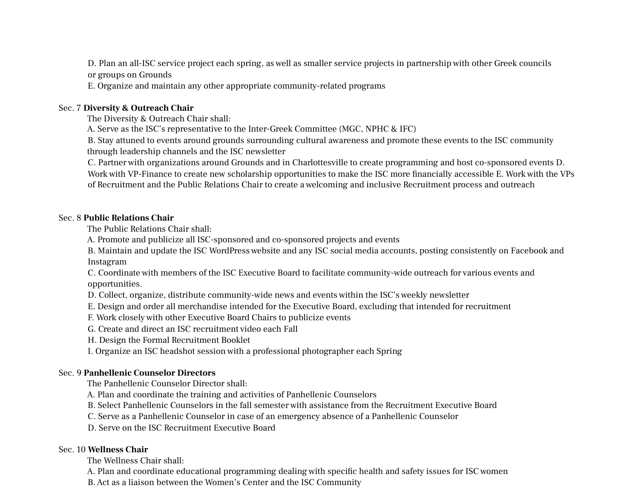D. Plan an all-ISC service project each spring, as well as smaller service projects in partnership with other Greek councils or groups on Grounds

E. Organize and maintain any other appropriate community-related programs

#### Sec. 7 **Diversity & Outreach Chair**

The Diversity & Outreach Chair shall:

A. Serve as the ISC's representative to the Inter-Greek Committee (MGC, NPHC & IFC)

B. Stay attuned to events around grounds surrounding cultural awareness and promote these events to the ISC community through leadership channels and the ISC newsletter

C. Partner with organizations around Grounds and in Charlottesville to create programming and host co-sponsored events D. Work with VP-Finance to create new scholarship opportunities to make the ISC more financially accessible E. Work with the VPs of Recruitment and the Public Relations Chair to create a welcoming and inclusive Recruitment process and outreach

#### Sec. 8 **Public Relations Chair**

The Public Relations Chair shall:

A. Promote and publicize all ISC-sponsored and co-sponsored projects and events

B. Maintain and update the ISC WordPress website and any ISC social media accounts, posting consistently on Facebook and Instagram

C. Coordinate with members of the ISC Executive Board to facilitate community-wide outreach for various events and opportunities.

D. Collect, organize, distribute community-wide news and events within the ISC's weekly newsletter

E. Design and order all merchandise intended for the Executive Board, excluding that intended for recruitment

F. Work closely with other Executive Board Chairs to publicize events

G. Create and direct an ISC recruitment video each Fall

H. Design the Formal Recruitment Booklet

I. Organize an ISC headshot session with a professional photographer each Spring

#### Sec. 9 **Panhellenic Counselor Directors**

The Panhellenic Counselor Director shall:

A. Plan and coordinate the training and activities of Panhellenic Counselors

B. Select Panhellenic Counselors in the fall semester with assistance from the Recruitment Executive Board

C. Serve as a Panhellenic Counselor in case of an emergency absence of a Panhellenic Counselor

D. Serve on the ISC Recruitment Executive Board

#### Sec. 10 **Wellness Chair**

The Wellness Chair shall:

A. Plan and coordinate educational programming dealing with specific health and safety issues for ISC women

B.Act as a liaison between the Women's Center and the ISC Community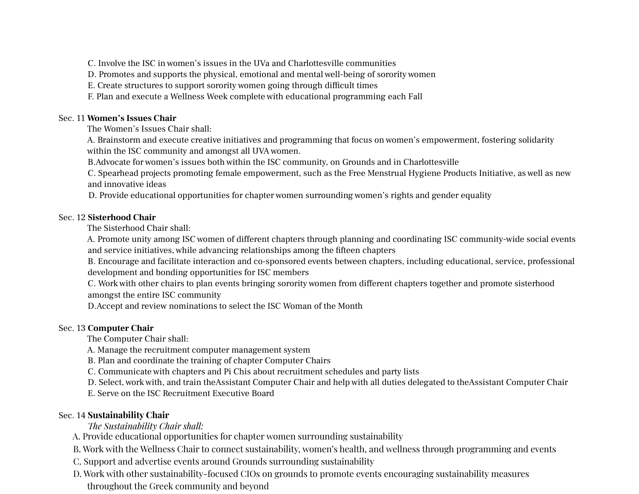C. Involve the ISC in women's issues in the UVa and Charlottesville communities

D. Promotes and supports the physical, emotional and mental well-being of sorority women

E. Create structures to support sorority women going through difficult times

F. Plan and execute a Wellness Week complete with educational programming each Fall

#### Sec. 11 **Women's Issues Chair**

The Women's Issues Chair shall:

A. Brainstorm and execute creative initiatives and programming that focus on women's empowerment, fostering solidarity within the ISC community and amongst all UVA women.

B.Advocate for women's issues both within the ISC community, on Grounds and in Charlottesville

C. Spearhead projects promoting female empowerment, such as the Free Menstrual Hygiene Products Initiative, as well as new and innovative ideas

D. Provide educational opportunities for chapter women surrounding women's rights and gender equality

#### Sec. 12 **Sisterhood Chair**

The Sisterhood Chair shall:

A. Promote unity among ISC women of different chapters through planning and coordinating ISC community-wide social events and service initiatives, while advancing relationships among the fifteen chapters

B. Encourage and facilitate interaction and co-sponsored events between chapters, including educational, service, professional development and bonding opportunities for ISC members

C. Work with other chairs to plan events bringing sorority women from different chapters together and promote sisterhood amongst the entire ISC community

D.Accept and review nominations to select the ISC Woman of the Month

### Sec. 13 **Computer Chair**

The Computer Chair shall:

A. Manage the recruitment computer management system

B. Plan and coordinate the training of chapter Computer Chairs

C. Communicate with chapters and Pi Chis about recruitment schedules and party lists

D. Select, work with, and train theAssistant Computer Chair and help with all duties delegated to theAssistant Computer Chair

E. Serve on the ISC Recruitment Executive Board

## Sec. 14 **Sustainability Chair**

*The Sustainability Chair shall:*

A. Provide educational opportunities for chapter women surrounding sustainability

B. Work with the Wellness Chair to connect sustainability, women's health, and wellness through programming and events

C. Support and advertise events around Grounds surrounding sustainability

D. Work with other sustainability-focused CIOs on grounds to promote events encouraging sustainability measures throughout the Greek community and beyond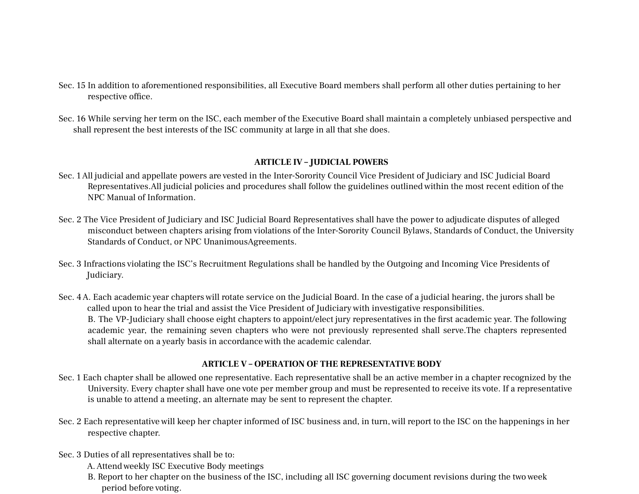- Sec. 15 In addition to aforementioned responsibilities, all Executive Board members shall perform all other duties pertaining to her respective office.
- Sec. 16 While serving her term on the ISC, each member of the Executive Board shall maintain a completely unbiased perspective and shall represent the best interests of the ISC community at large in all that she does.

#### **ARTICLE IV – JUDICIAL POWERS**

- Sec. 1All judicial and appellate powers are vested in the Inter-Sorority Council Vice President of Judiciary and ISC Judicial Board Representatives.All judicial policies and procedures shall follow the guidelines outlined within the most recent edition of the NPC Manual of Information.
- Sec. 2 The Vice President of Judiciary and ISC Judicial Board Representatives shall have the power to adjudicate disputes of alleged misconduct between chapters arising from violations of the Inter-Sorority Council Bylaws, Standards of Conduct, the University Standards of Conduct, or NPC UnanimousAgreements.
- Sec. 3 Infractions violating the ISC's Recruitment Regulations shall be handled by the Outgoing and Incoming Vice Presidents of Judiciary.
- Sec. 4A. Each academic year chapters will rotate service on the Judicial Board. In the case of a judicial hearing, the jurors shall be called upon to hear the trial and assist the Vice President of Judiciary with investigative responsibilities. B. The VP-Judiciary shall choose eight chapters to appoint/elect jury representatives in the first academic year. The following academic year, the remaining seven chapters who were not previously represented shall serve.The chapters represented shall alternate on a yearly basis in accordance with the academic calendar.

#### **ARTICLE V – OPERATION OF THE REPRESENTATIVE BODY**

- Sec. 1 Each chapter shall be allowed one representative. Each representative shall be an active member in a chapter recognized by the University. Every chapter shall have one vote per member group and must be represented to receive its vote. If a representative is unable to attend a meeting, an alternate may be sent to represent the chapter.
- Sec. 2 Each representative will keep her chapter informed of ISC business and, in turn, will report to the ISC on the happenings in her respective chapter.
- Sec. 3 Duties of all representatives shall be to:
	- A.Attend weekly ISC Executive Body meetings
	- B. Report to her chapter on the business of the ISC, including all ISC governing document revisions during the two week period before voting.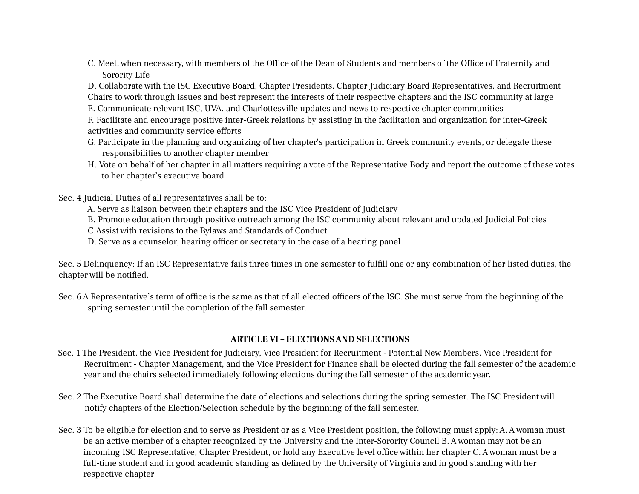C. Meet, when necessary, with members of the Office of the Dean of Students and members of the Office of Fraternity and Sorority Life

D. Collaborate with the ISC Executive Board, Chapter Presidents, Chapter Judiciary Board Representatives, and Recruitment Chairs to work through issues and best represent the interests of their respective chapters and the ISC community at large

E. Communicate relevant ISC, UVA, and Charlottesville updates and news to respective chapter communities

F. Facilitate and encourage positive inter-Greek relations by assisting in the facilitation and organization for inter-Greek activities and community service efforts

- G. Participate in the planning and organizing of her chapter's participation in Greek community events, or delegate these responsibilities to another chapter member
- H. Vote on behalf of her chapter in all matters requiring a vote of the Representative Body and report the outcome of these votes to her chapter's executive board

Sec. 4 Judicial Duties of all representatives shall be to:

A. Serve as liaison between their chapters and the ISC Vice President of Judiciary

B. Promote education through positive outreach among the ISC community about relevant and updated Judicial Policies

C.Assist with revisions to the Bylaws and Standards of Conduct

D. Serve as a counselor, hearing officer or secretary in the case of a hearing panel

Sec. 5 Delinquency: If an ISC Representative fails three times in one semester to fulfill one or any combination of her listed duties, the chapter will be notified.

Sec. 6A Representative's term of office is the same as that of all elected officers of the ISC. She must serve from the beginning of the spring semester until the completion of the fall semester.

#### **ARTICLE VI – ELECTIONSAND SELECTIONS**

- Sec. 1 The President, the Vice President for Judiciary, Vice President for Recruitment Potential New Members, Vice President for Recruitment - Chapter Management, and the Vice President for Finance shall be elected during the fall semester of the academic year and the chairs selected immediately following elections during the fall semester of the academic year.
- Sec. 2 The Executive Board shall determine the date of elections and selections during the spring semester. The ISC President will notify chapters of the Election/Selection schedule by the beginning of the fall semester.
- Sec. 3 To be eligible for election and to serve as President or as a Vice President position, the following must apply: A. A woman must be an active member of a chapter recognized by the University and the Inter-Sorority Council B.A woman may not be an incoming ISC Representative, Chapter President, or hold any Executive level office within her chapter C.A woman must be a full-time student and in good academic standing as defined by the University of Virginia and in good standing with her respective chapter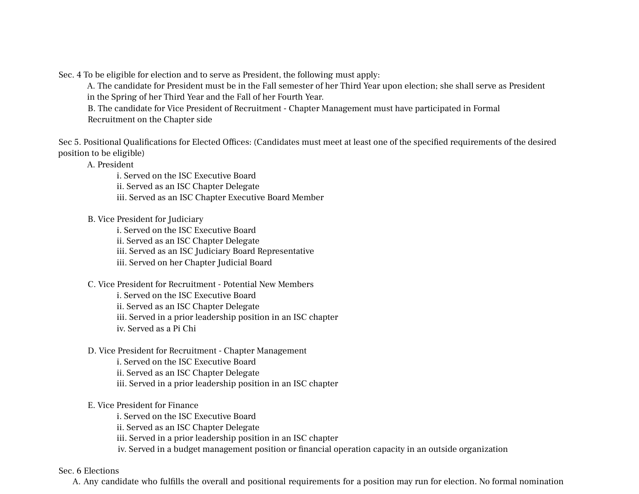Sec. 4 To be eligible for election and to serve as President, the following must apply:

A. The candidate for President must be in the Fall semester of her Third Year upon election; she shall serve as President in the Spring of her Third Year and the Fall of her Fourth Year.

B. The candidate for Vice President of Recruitment - Chapter Management must have participated in Formal Recruitment on the Chapter side

Sec 5. Positional Qualifications for Elected Offices: (Candidates must meet at least one of the specified requirements of the desired position to be eligible)

A. President

i. Served on the ISC Executive Board ii. Served as an ISC Chapter Delegate iii. Served as an ISC Chapter Executive Board Member

B. Vice President for Judiciary

i. Served on the ISC Executive Board

ii. Served as an ISC Chapter Delegate

iii. Served as an ISC Judiciary Board Representative

iii. Served on her Chapter Judicial Board

C. Vice President for Recruitment - Potential New Members

i. Served on the ISC Executive Board

ii. Served as an ISC Chapter Delegate

iii. Served in a prior leadership position in an ISC chapter

iv. Served as a Pi Chi

D. Vice President for Recruitment - Chapter Management

i. Served on the ISC Executive Board

ii. Served as an ISC Chapter Delegate

iii. Served in a prior leadership position in an ISC chapter

#### E. Vice President for Finance

i. Served on the ISC Executive Board ii. Served as an ISC Chapter Delegate iii. Served in a prior leadership position in an ISC chapter iv. Served in a budget management position or financial operation capacity in an outside organization

Sec. 6 Elections

A. Any candidate who fulfills the overall and positional requirements for a position may run for election. No formal nomination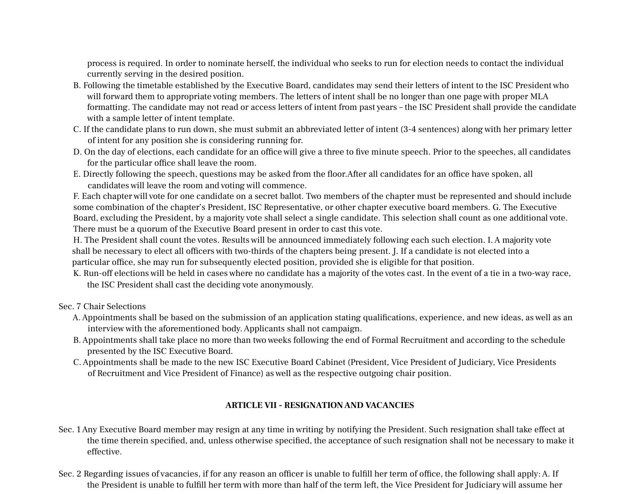process is required. In order to nominate herself, the individual who seeks to run for election needs to contact the individual currently serving in the desired position.

- B. Following the timetable established by the Executive Board, candidates may send their letters of intent to the ISC President who will forward them to appropriate voting members. The letters of intent shall be no longer than one page with proper MLA formatting. The candidate may not read or access letters of intent from past years – the ISC President shall provide the candidate with a sample letter of intent template.
- C. If the candidate plans to run down, she must submit an abbreviated letter of intent (3-4 sentences) along with her primary letter of intent for any position she is considering running for.
- D. On the day of elections, each candidate for an office will give a three to five minute speech. Prior to the speeches, all candidates for the particular office shall leave the room.
- E. Directly following the speech, questions may be asked from the floor.After all candidates for an office have spoken, all candidates will leave the room and voting will commence.

F. Each chapter will vote for one candidate on a secret ballot. Two members of the chapter must be represented and should include some combination of the chapter's President, ISC Representative, or other chapter executive board members. G. The Executive Board, excluding the President, by a majority vote shall select a single candidate. This selection shall count as one additional vote. There must be a quorum of the Executive Board present in order to cast this vote.

H. The President shall count the votes. Results will be announced immediately following each such election. I.A majority vote shall be necessary to elect all officers with two-thirds of the chapters being present. J. If a candidate is not elected into a particular office, she may run for subsequently elected position, provided she is eligible for that position.

K. Run-off elections will be held in cases where no candidate has a majority of the votes cast. In the event of a tie in a two-way race, the ISC President shall cast the deciding vote anonymously.

Sec. 7 Chair Selections

- A.Appointments shall be based on the submission of an application stating qualifications, experience, and new ideas, as well as an interview with the aforementioned body.Applicants shall not campaign.
- B.Appointments shall take place no more than two weeks following the end of Formal Recruitment and according to the schedule presented by the ISC Executive Board.
- C.Appointments shall be made to the new ISC Executive Board Cabinet (President, Vice President of Judiciary, Vice Presidents of Recruitment and Vice President of Finance) as well as the respective outgoing chair position.

#### **ARTICLE VII - RESIGNATIONAND VACANCIES**

- Sec. 1Any Executive Board member may resign at any time in writing by notifying the President. Such resignation shall take effect at the time therein specified, and, unless otherwise specified, the acceptance of such resignation shall not be necessary to make it effective.
- Sec. 2 Regarding issues of vacancies, if for any reason an officer is unable to fulfill her term of office, the following shall apply:A. If the President is unable to fulfill her term with more than half of the term left, the Vice President for Judiciary will assume her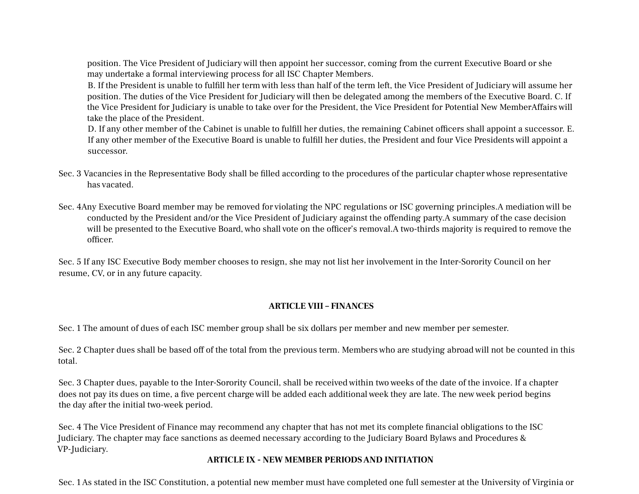position. The Vice President of Judiciary will then appoint her successor, coming from the current Executive Board or she may undertake a formal interviewing process for all ISC Chapter Members.

B. If the President is unable to fulfill her term with less than half of the term left, the Vice President of Judiciary will assume her position. The duties of the Vice President for Judiciary will then be delegated among the members of the Executive Board. C. If the Vice President for Judiciary is unable to take over for the President, the Vice President for Potential New MemberAffairs will take the place of the President.

D. If any other member of the Cabinet is unable to fulfill her duties, the remaining Cabinet officers shall appoint a successor. E. If any other member of the Executive Board is unable to fulfill her duties, the President and four Vice Presidents will appoint a successor.

- Sec. 3 Vacancies in the Representative Body shall be filled according to the procedures of the particular chapter whose representative has vacated.
- Sec. 4Any Executive Board member may be removed for violating the NPC regulations or ISC governing principles.A mediation will be conducted by the President and/or the Vice President of Judiciary against the offending party.A summary of the case decision will be presented to the Executive Board, who shall vote on the officer's removal.A two-thirds majority is required to remove the officer.

Sec. 5 If any ISC Executive Body member chooses to resign, she may not list her involvement in the Inter-Sorority Council on her resume, CV, or in any future capacity.

#### **ARTICLE VIII – FINANCES**

Sec. 1 The amount of dues of each ISC member group shall be six dollars per member and new member per semester.

Sec. 2 Chapter dues shall be based off of the total from the previous term. Members who are studying abroad will not be counted in this total.

Sec. 3 Chapter dues, payable to the Inter-Sorority Council, shall be received within two weeks of the date of the invoice. If a chapter does not pay its dues on time, a five percent charge will be added each additional week they are late. The new week period begins the day after the initial two-week period.

Sec. 4 The Vice President of Finance may recommend any chapter that has not met its complete financial obligations to the ISC Judiciary. The chapter may face sanctions as deemed necessary according to the Judiciary Board Bylaws and Procedures & VP-Judiciary.

### **ARTICLE IX - NEW MEMBER PERIODSAND INITIATION**

Sec. 1As stated in the ISC Constitution, a potential new member must have completed one full semester at the University of Virginia or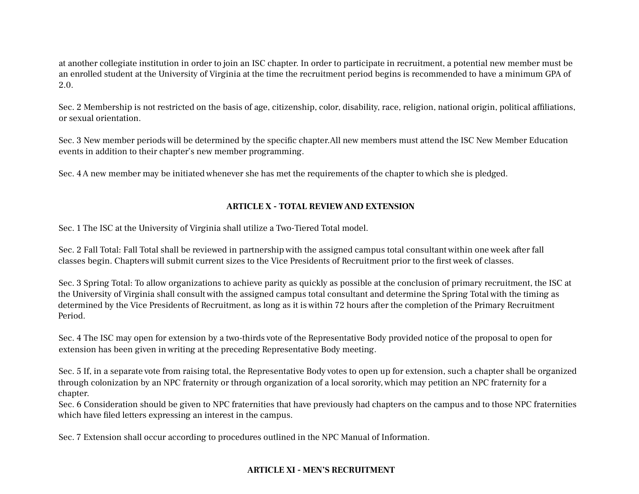at another collegiate institution in order to join an ISC chapter. In order to participate in recruitment, a potential new member must be an enrolled student at the University of Virginia at the time the recruitment period begins is recommended to have a minimum GPA of 2.0.

Sec. 2 Membership is not restricted on the basis of age, citizenship, color, disability, race, religion, national origin, political affiliations, or sexual orientation.

Sec. 3 New member periods will be determined by the specific chapter.All new members must attend the ISC New Member Education events in addition to their chapter's new member programming.

Sec. 4A new member may be initiated whenever she has met the requirements of the chapter to which she is pledged.

#### **ARTICLE X - TOTAL REVIEWAND EXTENSION**

Sec. 1 The ISC at the University of Virginia shall utilize a Two-Tiered Total model.

Sec. 2 Fall Total: Fall Total shall be reviewed in partnership with the assigned campus total consultant within one week after fall classes begin. Chapters will submit current sizes to the Vice Presidents of Recruitment prior to the first week of classes.

Sec. 3 Spring Total: To allow organizations to achieve parity as quickly as possible at the conclusion of primary recruitment, the ISC at the University of Virginia shall consult with the assigned campus total consultant and determine the Spring Total with the timing as determined by the Vice Presidents of Recruitment, as long as it is within 72 hours after the completion of the Primary Recruitment Period.

Sec. 4 The ISC may open for extension by a two-thirds vote of the Representative Body provided notice of the proposal to open for extension has been given in writing at the preceding Representative Body meeting.

Sec. 5 If, in a separate vote from raising total, the Representative Body votes to open up for extension, such a chapter shall be organized through colonization by an NPC fraternity or through organization of a local sorority, which may petition an NPC fraternity for a chapter.

Sec. 6 Consideration should be given to NPC fraternities that have previously had chapters on the campus and to those NPC fraternities which have filed letters expressing an interest in the campus.

Sec. 7 Extension shall occur according to procedures outlined in the NPC Manual of Information.

### **ARTICLE XI - MEN'S RECRUITMENT**